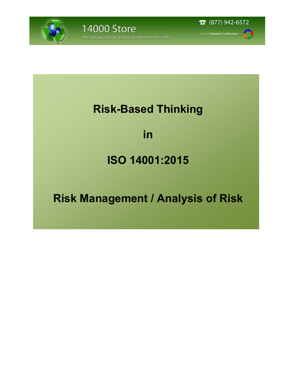



Il Standards Certifications

# **Risk-Based Thinking**

### **in**

# **ISO 14001:2015**

# **Risk Management / Analysis of Risk**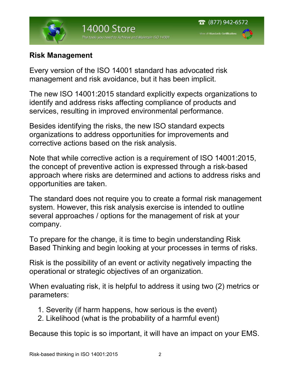

#### **Risk Management**

Every version of the ISO 14001 standard has advocated risk management and risk avoidance, but it has been implicit.

The new ISO 14001:2015 standard explicitly expects organizations to identify and address risks affecting compliance of products and services, resulting in improved environmental performance.

Besides identifying the risks, the new ISO standard expects organizations to address opportunities for improvements and corrective actions based on the risk analysis.

Note that while corrective action is a requirement of ISO 14001:2015, the concept of preventive action is expressed through a risk-based approach where risks are determined and actions to address risks and opportunities are taken.

The standard does not require you to create a formal risk management system. However, this risk analysis exercise is intended to outline several approaches / options for the management of risk at your company.

To prepare for the change, it is time to begin understanding Risk Based Thinking and begin looking at your processes in terms of risks.

Risk is the possibility of an event or activity negatively impacting the operational or strategic objectives of an organization.

When evaluating risk, it is helpful to address it using two (2) metrics or parameters:

- 1. Severity (if harm happens, how serious is the event)
- 2. Likelihood (what is the probability of a harmful event)

Because this topic is so important, it will have an impact on your EMS.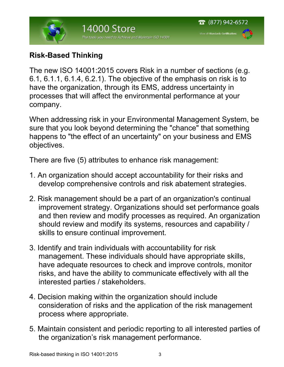

### **Risk-Based Thinking**

The new ISO 14001:2015 covers Risk in a number of sections (e.g. 6.1, 6.1.1, 6.1.4, 6.2.1). The objective of the emphasis on risk is to have the organization, through its EMS, address uncertainty in processes that will affect the environmental performance at your company.

When addressing risk in your Environmental Management System, be sure that you look beyond determining the "chance" that something happens to "the effect of an uncertainty" on your business and EMS objectives.

There are five (5) attributes to enhance risk management:

- 1. An organization should accept accountability for their risks and develop comprehensive controls and risk abatement strategies.
- 2. Risk management should be a part of an organization's continual improvement strategy. Organizations should set performance goals and then review and modify processes as required. An organization should review and modify its systems, resources and capability / skills to ensure continual improvement.
- 3. Identify and train individuals with accountability for risk management. These individuals should have appropriate skills, have adequate resources to check and improve controls, monitor risks, and have the ability to communicate effectively with all the interested parties / stakeholders.
- 4. Decision making within the organization should include consideration of risks and the application of the risk management process where appropriate.
- 5. Maintain consistent and periodic reporting to all interested parties of the organization's risk management performance.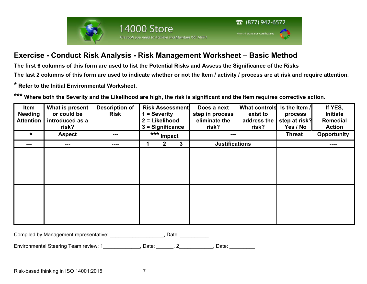



#### **Exercise - Conduct Risk Analysis - Risk Management Worksheet – Basic Method**

The tools you need to Achieve and Maintain ISO 14001

**14000 Store** 

**The first 6 columns of this form are used to list the Potential Risks and Assess the Significance of the Risks** 

**The last 2 columns of this form are used to indicate whether or not the Item / activity / process are at risk and require attention.** 

**\* Refer to the Initial Environmental Worksheet.** 

**\*\*\* Where both the Severity and the Likelihood are high, the risk is significant and the Item requires corrective action.** 

| Item<br><b>Needing</b><br><b>Attention</b> | What is present<br>or could be<br>introduced as a<br>risk? | <b>Description of</b><br><b>Risk</b> | <b>Risk Assessment</b><br>= Severity<br>2 = Likelihood<br>$3 =$ Significance |              |   | Does a next<br>step in process<br>eliminate the<br>risk? | <b>What controls</b><br>exist to<br>address the<br>risk? | Is the Item /<br>process<br>step at risk?<br>Yes / No | If YES,<br>Initiate<br><b>Remedial</b><br><b>Action</b> |
|--------------------------------------------|------------------------------------------------------------|--------------------------------------|------------------------------------------------------------------------------|--------------|---|----------------------------------------------------------|----------------------------------------------------------|-------------------------------------------------------|---------------------------------------------------------|
| $\star$                                    | <b>Aspect</b>                                              | ---                                  | *** Impact                                                                   |              |   |                                                          |                                                          | <b>Threat</b>                                         | <b>Opportunity</b>                                      |
| ---                                        | ---                                                        | ----                                 |                                                                              | $\mathbf{2}$ | 3 | <b>Justifications</b>                                    |                                                          |                                                       | ----                                                    |
|                                            |                                                            |                                      |                                                                              |              |   |                                                          |                                                          |                                                       |                                                         |
|                                            |                                                            |                                      |                                                                              |              |   |                                                          |                                                          |                                                       |                                                         |
|                                            |                                                            |                                      |                                                                              |              |   |                                                          |                                                          |                                                       |                                                         |
|                                            |                                                            |                                      |                                                                              |              |   |                                                          |                                                          |                                                       |                                                         |

Compiled by Management representative: \_\_\_\_\_\_\_\_\_\_\_\_\_\_\_\_\_\_\_\_\_, Date: \_\_\_\_\_

Environmental Steering Team review: 1\_\_\_\_\_\_\_\_\_\_\_\_\_, Date: \_\_\_\_\_\_\_, 2\_\_\_\_\_\_\_\_\_\_\_, Date: \_\_\_\_\_\_\_\_\_\_